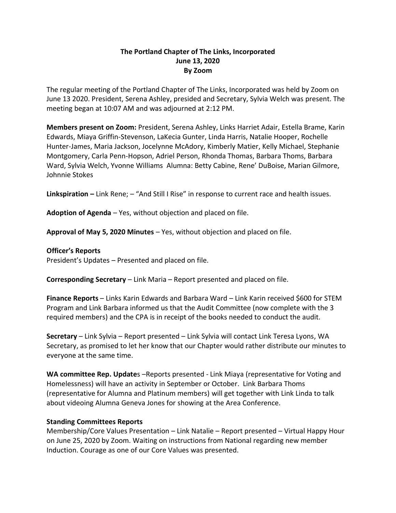## **The Portland Chapter of The Links, Incorporated June 13, 2020 By Zoom**

The regular meeting of the Portland Chapter of The Links, Incorporated was held by Zoom on June 13 2020. President, Serena Ashley, presided and Secretary, Sylvia Welch was present. The meeting began at 10:07 AM and was adjourned at 2:12 PM.

**Members present on Zoom:** President, Serena Ashley, Links Harriet Adair, Estella Brame, Karin Edwards, Miaya Griffin-Stevenson, LaKecia Gunter, Linda Harris, Natalie Hooper, Rochelle Hunter-James, Maria Jackson, Jocelynne McAdory, Kimberly Matier, Kelly Michael, Stephanie Montgomery, Carla Penn-Hopson, Adriel Person, Rhonda Thomas, Barbara Thoms, Barbara Ward, Sylvia Welch, Yvonne Williams Alumna: Betty Cabine, Rene' DuBoise, Marian Gilmore, Johnnie Stokes

**Linkspiration –** Link Rene; – "And Still I Rise" in response to current race and health issues.

**Adoption of Agenda** – Yes, without objection and placed on file.

**Approval of May 5, 2020 Minutes** – Yes, without objection and placed on file.

### **Officer's Reports**

President's Updates – Presented and placed on file.

**Corresponding Secretary** – Link Maria – Report presented and placed on file.

**Finance Reports** – Links Karin Edwards and Barbara Ward – Link Karin received \$600 for STEM Program and Link Barbara informed us that the Audit Committee (now complete with the 3 required members) and the CPA is in receipt of the books needed to conduct the audit.

**Secretary** – Link Sylvia – Report presented – Link Sylvia will contact Link Teresa Lyons, WA Secretary, as promised to let her know that our Chapter would rather distribute our minutes to everyone at the same time.

WA committee Rep. Updates -Reports presented - Link Miaya (representative for Voting and Homelessness) will have an activity in September or October. Link Barbara Thoms (representative for Alumna and Platinum members) will get together with Link Linda to talk about videoing Alumna Geneva Jones for showing at the Area Conference.

### **Standing Committees Reports**

Membership/Core Values Presentation – Link Natalie – Report presented – Virtual Happy Hour on June 25, 2020 by Zoom. Waiting on instructions from National regarding new member Induction. Courage as one of our Core Values was presented.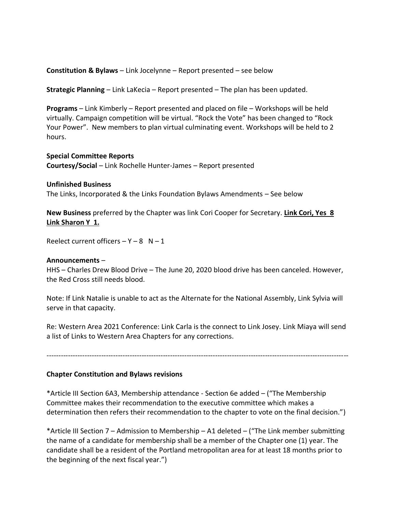**Constitution & Bylaws** – Link Jocelynne – Report presented – see below

**Strategic Planning** – Link LaKecia – Report presented – The plan has been updated.

**Programs** – Link Kimberly – Report presented and placed on file – Workshops will be held virtually. Campaign competition will be virtual. "Rock the Vote" has been changed to "Rock Your Power". New members to plan virtual culminating event. Workshops will be held to 2 hours.

#### **Special Committee Reports**

**Courtesy/Social** – Link Rochelle Hunter-James – Report presented

#### **Unfinished Business**

The Links, Incorporated & the Links Foundation Bylaws Amendments – See below

**New Business** preferred by the Chapter was link Cori Cooper for Secretary. **Link Cori, Yes 8 Link Sharon Y 1.**

Reelect current officers  $- Y - 8$  N  $- 1$ 

#### **Announcements** –

HHS – Charles Drew Blood Drive – The June 20, 2020 blood drive has been canceled. However, the Red Cross still needs blood.

Note: If Link Natalie is unable to act as the Alternate for the National Assembly, Link Sylvia will serve in that capacity.

Re: Western Area 2021 Conference: Link Carla is the connect to Link Josey. Link Miaya will send a list of Links to Western Area Chapters for any corrections.

-------------------------------------------------------------------------------------------------------------------------------

#### **Chapter Constitution and Bylaws revisions**

\*Article III Section 6A3, Membership attendance - Section 6e added – ("The Membership Committee makes their recommendation to the executive committee which makes a determination then refers their recommendation to the chapter to vote on the final decision.")

\*Article III Section 7 – Admission to Membership – A1 deleted – ("The Link member submitting the name of a candidate for membership shall be a member of the Chapter one (1) year. The candidate shall be a resident of the Portland metropolitan area for at least 18 months prior to the beginning of the next fiscal year.")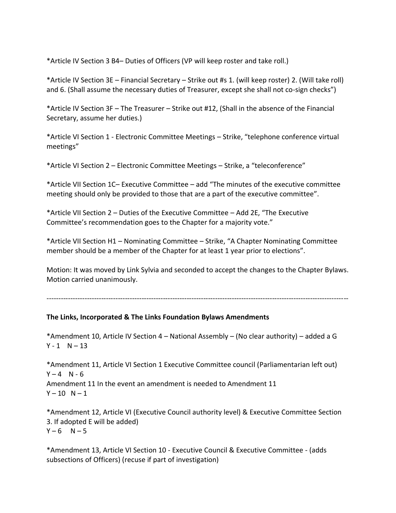\*Article IV Section 3 B4– Duties of Officers (VP will keep roster and take roll.)

\*Article IV Section 3E – Financial Secretary – Strike out #s 1. (will keep roster) 2. (Will take roll) and 6. (Shall assume the necessary duties of Treasurer, except she shall not co-sign checks")

\*Article IV Section 3F – The Treasurer – Strike out #12, (Shall in the absence of the Financial Secretary, assume her duties.)

\*Article VI Section 1 - Electronic Committee Meetings – Strike, "telephone conference virtual meetings"

\*Article VI Section 2 – Electronic Committee Meetings – Strike, a "teleconference"

\*Article VII Section 1C– Executive Committee – add "The minutes of the executive committee meeting should only be provided to those that are a part of the executive committee".

\*Article VII Section 2 – Duties of the Executive Committee – Add 2E, "The Executive Committee's recommendation goes to the Chapter for a majority vote."

\*Article VII Section H1 – Nominating Committee – Strike, "A Chapter Nominating Committee member should be a member of the Chapter for at least 1 year prior to elections".

Motion: It was moved by Link Sylvia and seconded to accept the changes to the Chapter Bylaws. Motion carried unanimously.

-------------------------------------------------------------------------------------------------------------------------------

# **The Links, Incorporated & The Links Foundation Bylaws Amendments**

\*Amendment 10, Article IV Section 4 – National Assembly – (No clear authority) – added a G  $Y - 1$  N – 13

\*Amendment 11, Article VI Section 1 Executive Committee council (Parliamentarian left out)  $Y - 4$  N - 6 Amendment 11 In the event an amendment is needed to Amendment 11  $Y - 10 N - 1$ 

\*Amendment 12, Article VI (Executive Council authority level) & Executive Committee Section 3. If adopted E will be added)  $Y - 6$  N – 5

\*Amendment 13, Article VI Section 10 - Executive Council & Executive Committee - (adds subsections of Officers) (recuse if part of investigation)